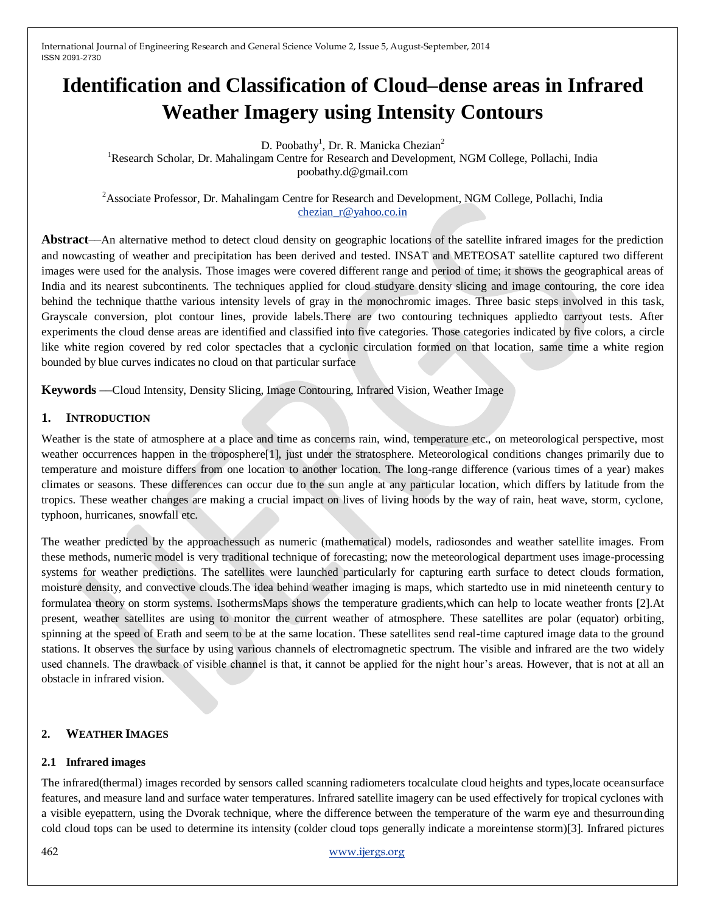# **Identification and Classification of Cloud–dense areas in Infrared Weather Imagery using Intensity Contours**

D. Poobathy<sup>1</sup>, Dr. R. Manicka Chezian<sup>2</sup>

<sup>1</sup>Research Scholar, Dr. Mahalingam Centre for Research and Development, NGM College, Pollachi, India poobathy.d@gmail.com

<sup>2</sup>Associate Professor, Dr. Mahalingam Centre for Research and Development, NGM College, Pollachi, India [chezian\\_r@yahoo.co.in](mailto:chezian_r@yahoo.co.in)

**Abstract**––An alternative method to detect cloud density on geographic locations of the satellite infrared images for the prediction and nowcasting of weather and precipitation has been derived and tested. INSAT and METEOSAT satellite captured two different images were used for the analysis. Those images were covered different range and period of time; it shows the geographical areas of India and its nearest subcontinents. The techniques applied for cloud studyare density slicing and image contouring, the core idea behind the technique thatthe various intensity levels of gray in the monochromic images. Three basic steps involved in this task, Grayscale conversion, plot contour lines, provide labels.There are two contouring techniques appliedto carryout tests. After experiments the cloud dense areas are identified and classified into five categories. Those categories indicated by five colors, a circle like white region covered by red color spectacles that a cyclonic circulation formed on that location, same time a white region bounded by blue curves indicates no cloud on that particular surface

**Keywords ––**Cloud Intensity, Density Slicing, Image Contouring, Infrared Vision, Weather Image

# **1. INTRODUCTION**

Weather is the state of atmosphere at a place and time as concerns rain, wind, temperature etc., on meteorological perspective, most weather occurrences happen in the troposphere<sup>[1]</sup>, just under the stratosphere. Meteorological conditions changes primarily due to temperature and moisture differs from one location to another location. The long-range difference (various times of a year) makes climates or seasons. These differences can occur due to the sun angle at any particular location, which differs by latitude from the tropics. These weather changes are making a crucial impact on lives of living hoods by the way of rain, heat wave, storm, cyclone, typhoon, hurricanes, snowfall etc.

The weather predicted by the approachessuch as numeric (mathematical) models, radiosondes and weather satellite images. From these methods, numeric model is very traditional technique of forecasting; now the meteorological department uses image-processing systems for weather predictions. The satellites were launched particularly for capturing earth surface to detect clouds formation, moisture density, and convective clouds.The idea behind weather imaging is maps, which startedto use in mid nineteenth century to formulatea theory on storm systems. IsothermsMaps shows the temperature gradients,which can help to locate weather fronts [2].At present, weather satellites are using to monitor the current weather of atmosphere. These satellites are polar (equator) orbiting, spinning at the speed of Erath and seem to be at the same location. These satellites send real-time captured image data to the ground stations. It observes the surface by using various channels of electromagnetic spectrum. The visible and infrared are the two widely used channels. The drawback of visible channel is that, it cannot be applied for the night hour"s areas. However, that is not at all an obstacle in infrared vision.

# **2. WEATHER IMAGES**

# **2.1 Infrared images**

The infrared(thermal) images recorded by sensors called scanning radiometers tocalculate cloud heights and types,locate oceansurface features, and measure land and surface water temperatures. Infrared satellite imagery can be used effectively for tropical cyclones with a visible eyepattern, using the Dvorak technique, where the difference between the temperature of the warm eye and thesurrounding cold cloud tops can be used to determine its intensity (colder cloud tops generally indicate a moreintense storm)[3]. Infrared pictures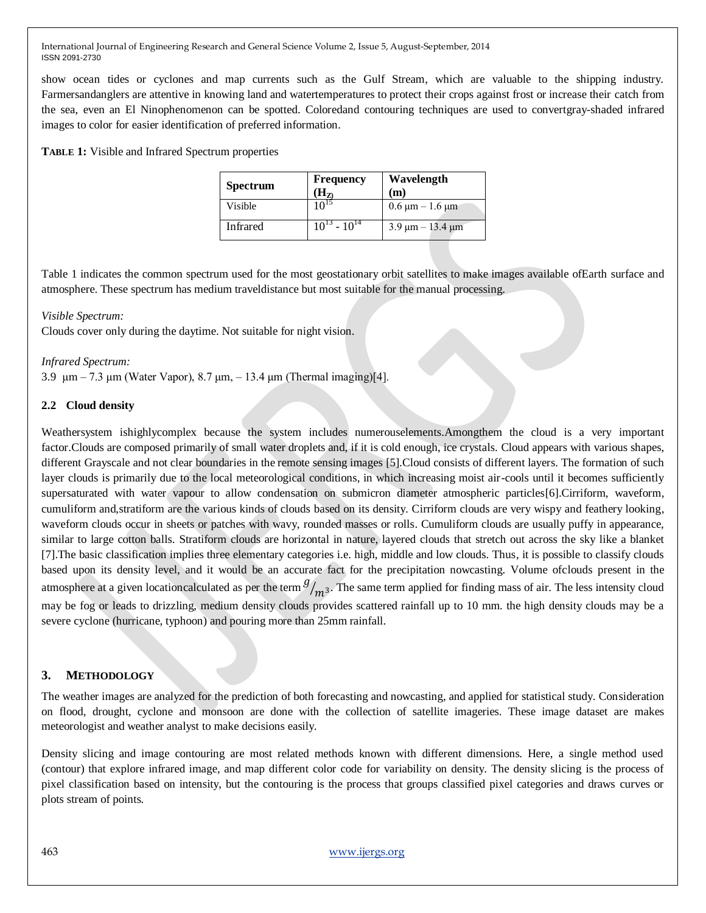show ocean tides or cyclones and map currents such as the Gulf Stream, which are valuable to the shipping industry. Farmersandanglers are attentive in knowing land and watertemperatures to protect their crops against frost or increase their catch from the sea, even an El Ninophenomenon can be spotted. Coloredand contouring techniques are used to convertgray-shaded infrared images to color for easier identification of preferred information.

**TABLE 1:** Visible and Infrared Spectrum properties

| <b>Spectrum</b> | <b>Frequency</b><br>$\mathbf{H}_{\mathbf{Z}}$ | Wavelength<br>(m)                                    |
|-----------------|-----------------------------------------------|------------------------------------------------------|
| Visible         | $10^{15}$                                     | $0.6 \mu m - 1.6 \mu m$                              |
| <b>Infrared</b> | $10^{13} - 10^{14}$                           | $3.9 \text{ }\mu\text{m} - 13.4 \text{ }\mu\text{m}$ |

Table 1 indicates the common spectrum used for the most geostationary orbit satellites to make images available ofEarth surface and atmosphere. These spectrum has medium traveldistance but most suitable for the manual processing.

## *Visible Spectrum:*

Clouds cover only during the daytime. Not suitable for night vision.

## *Infrared Spectrum:*

3.9 μm – 7.3 μm (Water Vapor), 8.7 μm, – 13.4 μm (Thermal imaging)[4].

# **2.2 Cloud density**

Weathersystem ishighlycomplex because the system includes numerouselements.Amongthem the cloud is a very important factor.Clouds are composed primarily of small water droplets and, if it is cold enough, ice crystals. Cloud appears with various shapes, different Grayscale and not clear boundaries in the remote sensing images [5].Cloud consists of different layers. The formation of such layer clouds is primarily due to the local meteorological conditions, in which increasing moist air-cools until it becomes sufficiently supersaturated with water vapour to allow condensation on submicron diameter atmospheric particles[6].Cirriform, waveform, cumuliform and,stratiform are the various kinds of clouds based on its density. Cirriform clouds are very wispy and feathery looking, waveform clouds occur in sheets or patches with wavy, rounded masses or rolls. Cumuliform clouds are usually puffy in appearance, similar to large cotton balls. Stratiform clouds are horizontal in nature, layered clouds that stretch out across the sky like a blanket [7].The basic classification implies three elementary categories i.e. high, middle and low clouds. Thus, it is possible to classify clouds based upon its density level, and it would be an accurate fact for the precipitation nowcasting. Volume ofclouds present in the atmosphere at a given locationcalculated as per the term  $\frac{g}{m^3}$ . The same term applied for finding mass of air. The less intensity cloud may be fog or leads to drizzling, medium density clouds provides scattered rainfall up to 10 mm. the high density clouds may be a severe cyclone (hurricane, typhoon) and pouring more than 25mm rainfall.

# **3. METHODOLOGY**

The weather images are analyzed for the prediction of both forecasting and nowcasting, and applied for statistical study. Consideration on flood, drought, cyclone and monsoon are done with the collection of satellite imageries. These image dataset are makes meteorologist and weather analyst to make decisions easily.

Density slicing and image contouring are most related methods known with different dimensions. Here, a single method used (contour) that explore infrared image, and map different color code for variability on density. The density slicing is the process of pixel classification based on intensity, but the contouring is the process that groups classified pixel categories and draws curves or plots stream of points.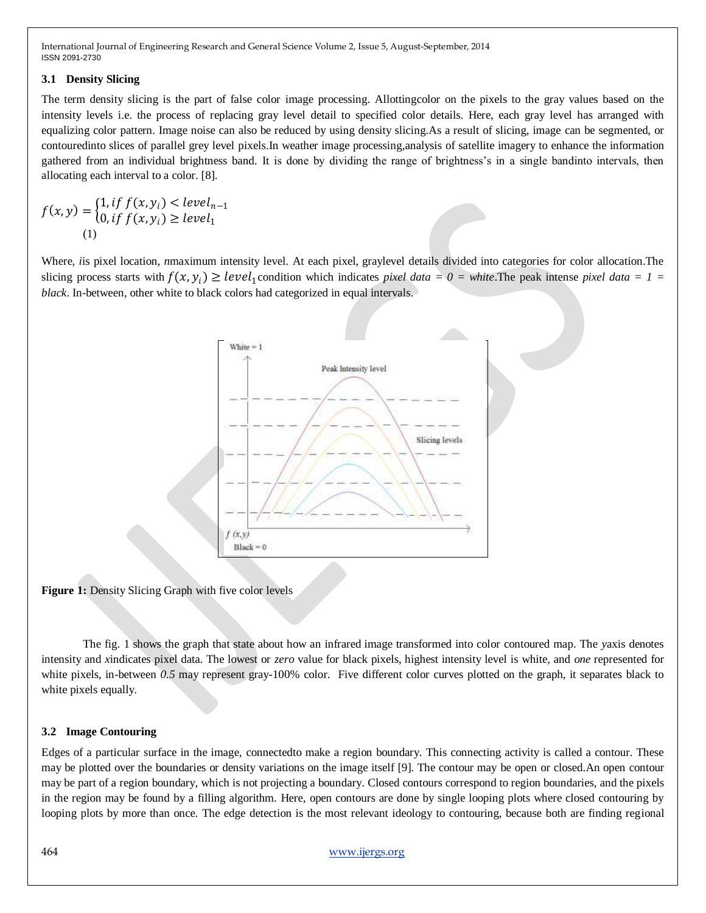## **3.1 Density Slicing**

The term density slicing is the part of false color image processing. Allottingcolor on the pixels to the gray values based on the intensity levels i.e. the process of replacing gray level detail to specified color details. Here, each gray level has arranged with equalizing color pattern. Image noise can also be reduced by using density slicing.As a result of slicing, image can be segmented, or contouredinto slices of parallel grey level pixels.In weather image processing,analysis of satellite imagery to enhance the information gathered from an individual brightness band. It is done by dividing the range of brightness"s in a single bandinto intervals, then allocating each interval to a color. [8].

$$
f(x, y) = \begin{cases} 1, if \ f(x, y_i) < level_{n-1} \\ 0, if \ f(x, y_i) \ge level_1 \end{cases}
$$
\n<sup>(1)</sup>

Where, *i*is pixel location, *n*maximum intensity level. At each pixel, graylevel details divided into categories for color allocation.The slicing process starts with  $f(x, y_i) \geq level_1$  condition which indicates *pixel data* = 0 = white. The peak intense *pixel data* = 1 = *black*. In-between, other white to black colors had categorized in equal intervals.



**Figure 1:** Density Slicing Graph with five color levels

The fig. 1 shows the graph that state about how an infrared image transformed into color contoured map. The *y*axis denotes intensity and *x*indicates pixel data. The lowest or *zero* value for black pixels, highest intensity level is white, and *one* represented for white pixels, in-between 0.5 may represent gray-100% color. Five different color curves plotted on the graph, it separates black to white pixels equally.

# **3.2 Image Contouring**

Edges of a particular surface in the image, connectedto make a region boundary. This connecting activity is called a contour. These may be plotted over the boundaries or density variations on the image itself [9]. The contour may be open or closed.An open contour may be part of a region boundary, which is not projecting a boundary. Closed contours correspond to region boundaries, and the pixels in the region may be found by a filling algorithm. Here, open contours are done by single looping plots where closed contouring by looping plots by more than once. The edge detection is the most relevant ideology to contouring, because both are finding regional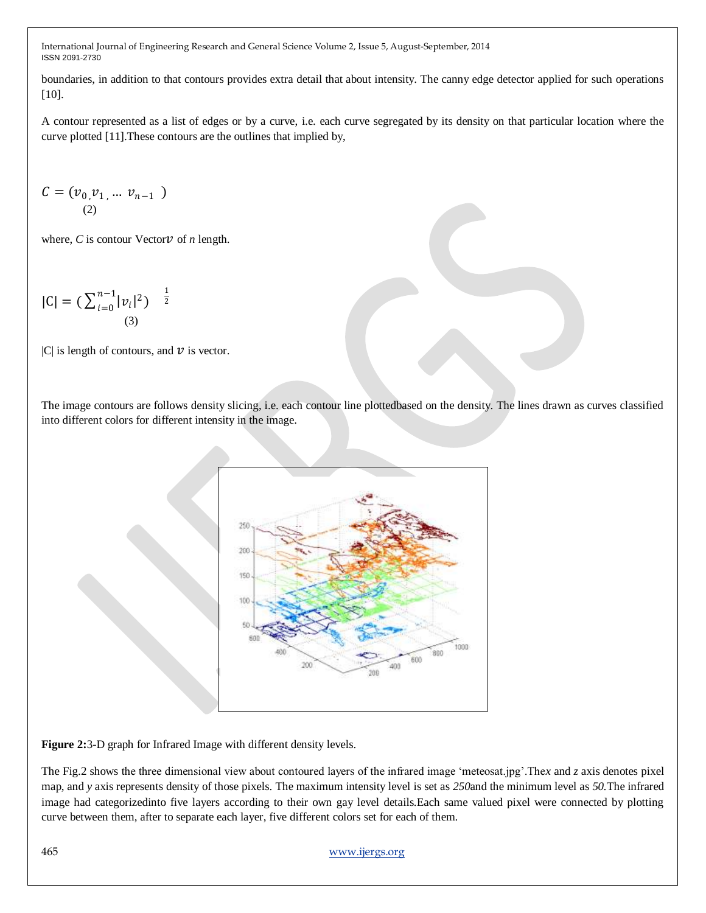boundaries, in addition to that contours provides extra detail that about intensity. The canny edge detector applied for such operations [10].

A contour represented as a list of edges or by a curve, i.e. each curve segregated by its density on that particular location where the curve plotted [11].These contours are the outlines that implied by,

$$
C = (\nu_0, \nu_1, \dots \nu_{n-1})
$$
  
(2)

where,  $C$  is contour Vector  $\nu$  of  $n$  length.

$$
|C| = \left(\sum_{i=0}^{n-1} |v_i|^2\right)^{-\frac{1}{2}}
$$
\n(3)

|C| is length of contours, and  $\nu$  is vector.

The image contours are follows density slicing, i.e. each contour line plottedbased on the density. The lines drawn as curves classified into different colors for different intensity in the image.



**Figure 2:**3-D graph for Infrared Image with different density levels.

The Fig.2 shows the three dimensional view about contoured layers of the infrared image "meteosat.jpg".The*x* and *z* axis denotes pixel map, and *y* axis represents density of those pixels. The maximum intensity level is set as *250*and the minimum level as *50.*The infrared image had categorizedinto five layers according to their own gay level details.Each same valued pixel were connected by plotting curve between them, after to separate each layer, five different colors set for each of them.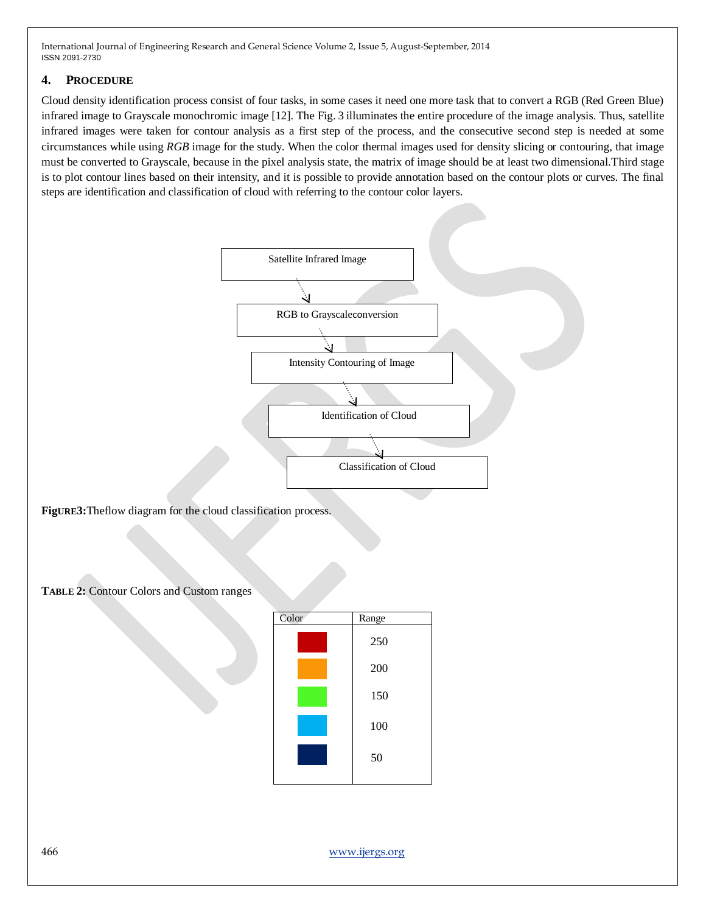## **4. PROCEDURE**

Cloud density identification process consist of four tasks, in some cases it need one more task that to convert a RGB (Red Green Blue) infrared image to Grayscale monochromic image [12]. The Fig. 3 illuminates the entire procedure of the image analysis. Thus, satellite infrared images were taken for contour analysis as a first step of the process, and the consecutive second step is needed at some circumstances while using *RGB* image for the study. When the color thermal images used for density slicing or contouring, that image must be converted to Grayscale, because in the pixel analysis state, the matrix of image should be at least two dimensional.Third stage is to plot contour lines based on their intensity, and it is possible to provide annotation based on the contour plots or curves. The final steps are identification and classification of cloud with referring to the contour color layers.



**FigURE3:**Theflow diagram for the cloud classification process.

**TABLE 2:** Contour Colors and Custom ranges

| Color | Range |
|-------|-------|
|       | 250   |
|       | 200   |
|       | 150   |
|       | 100   |
|       | 50    |
|       |       |

466 [www.ijergs.org](http://www.ijergs.org/)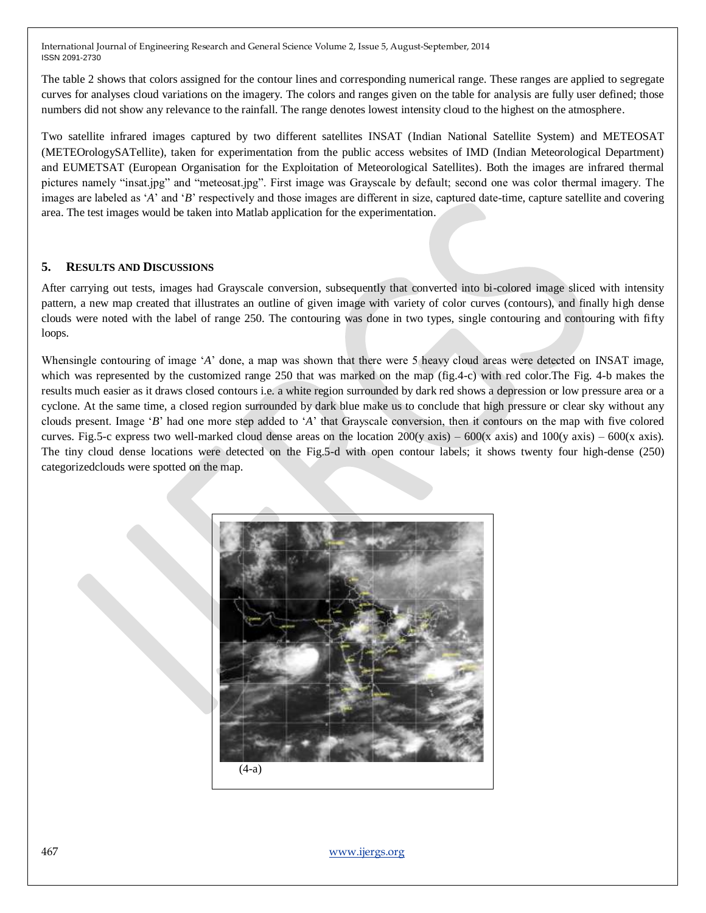The table 2 shows that colors assigned for the contour lines and corresponding numerical range. These ranges are applied to segregate curves for analyses cloud variations on the imagery. The colors and ranges given on the table for analysis are fully user defined; those numbers did not show any relevance to the rainfall. The range denotes lowest intensity cloud to the highest on the atmosphere.

Two satellite infrared images captured by two different satellites INSAT (Indian National Satellite System) and METEOSAT (METEOrologySATellite), taken for experimentation from the public access websites of IMD (Indian Meteorological Department) and EUMETSAT (European Organisation for the Exploitation of Meteorological Satellites). Both the images are infrared thermal pictures namely "insat.jpg" and "meteosat.jpg". First image was Grayscale by default; second one was color thermal imagery. The images are labeled as "*A*" and "*B*" respectively and those images are different in size, captured date-time, capture satellite and covering area. The test images would be taken into Matlab application for the experimentation.

# **5. RESULTS AND DISCUSSIONS**

After carrying out tests, images had Grayscale conversion, subsequently that converted into bi-colored image sliced with intensity pattern, a new map created that illustrates an outline of given image with variety of color curves (contours), and finally high dense clouds were noted with the label of range 250. The contouring was done in two types, single contouring and contouring with fifty loops.

Whensingle contouring of image 'A' done, a map was shown that there were 5 heavy cloud areas were detected on INSAT image, which was represented by the customized range 250 that was marked on the map (fig.4-c) with red color. The Fig. 4-b makes the results much easier as it draws closed contours i.e. a white region surrounded by dark red shows a depression or low pressure area or a cyclone. At the same time, a closed region surrounded by dark blue make us to conclude that high pressure or clear sky without any clouds present. Image "*B*" had one more step added to "*A*" that Grayscale conversion, then it contours on the map with five colored curves. Fig.5-c express two well-marked cloud dense areas on the location  $200(y \text{ axis}) - 600(x \text{ axis})$  and  $100(y \text{ axis}) - 600(x \text{ axis})$ . The tiny cloud dense locations were detected on the Fig.5-d with open contour labels; it shows twenty four high-dense (250) categorizedclouds were spotted on the map.



467 [www.ijergs.org](http://www.ijergs.org/)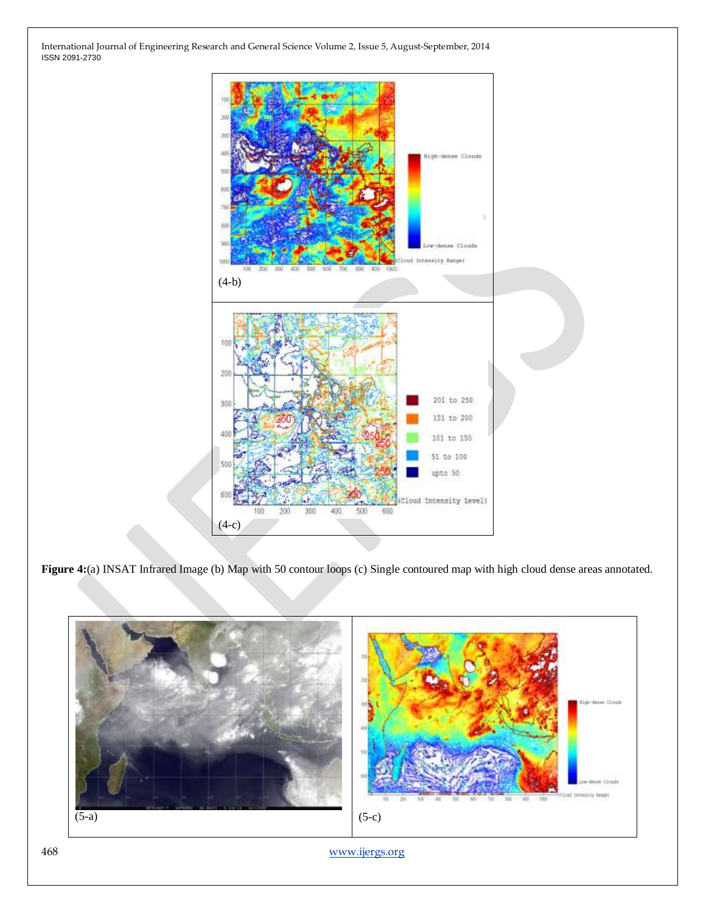

**Figure 4:**(a) INSAT Infrared Image (b) Map with 50 contour loops (c) Single contoured map with high cloud dense areas annotated.

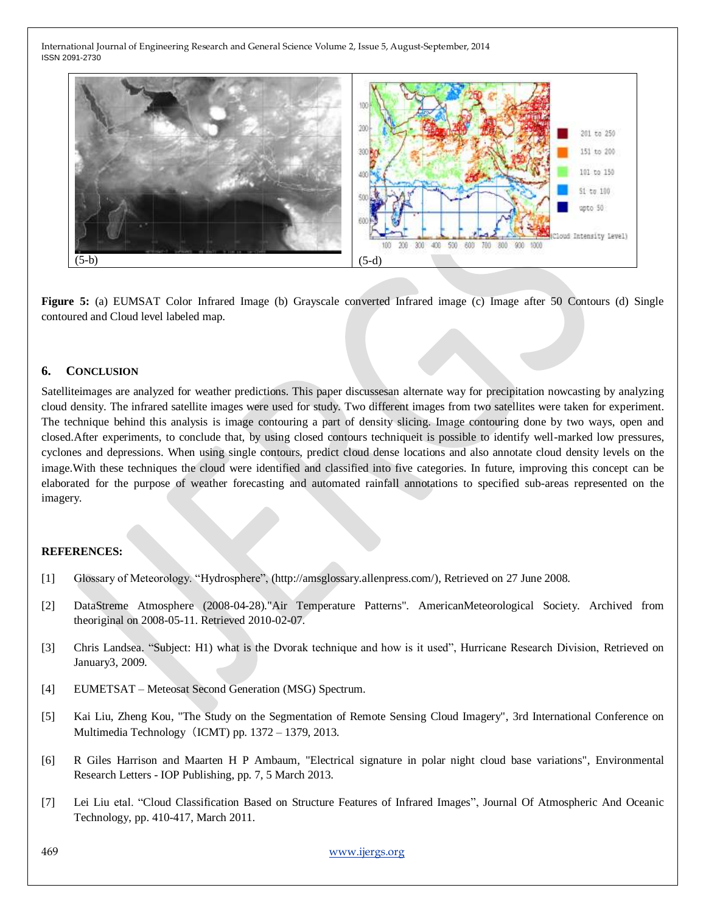

**Figure 5:** (a) EUMSAT Color Infrared Image (b) Grayscale converted Infrared image (c) Image after 50 Contours (d) Single contoured and Cloud level labeled map.

## **6. CONCLUSION**

Satelliteimages are analyzed for weather predictions. This paper discussesan alternate way for precipitation nowcasting by analyzing cloud density. The infrared satellite images were used for study. Two different images from two satellites were taken for experiment. The technique behind this analysis is image contouring a part of density slicing. Image contouring done by two ways, open and closed.After experiments, to conclude that, by using closed contours techniqueit is possible to identify well-marked low pressures, cyclones and depressions. When using single contours, predict cloud dense locations and also annotate cloud density levels on the image.With these techniques the cloud were identified and classified into five categories. In future, improving this concept can be elaborated for the purpose of weather forecasting and automated rainfall annotations to specified sub-areas represented on the imagery.

## **REFERENCES:**

- [1] Glossary of Meteorology. "Hydrosphere", (http://amsglossary.allenpress.com/), Retrieved on 27 June 2008.
- [2] DataStreme Atmosphere (2008-04-28)."Air Temperature Patterns". AmericanMeteorological Society. Archived from theoriginal on 2008-05-11. Retrieved 2010-02-07.
- [3] Chris Landsea. "Subject: H1) what is the Dvorak technique and how is it used", Hurricane Research Division, Retrieved on January3, 2009.
- [4] EUMETSAT Meteosat Second Generation (MSG) Spectrum.
- [5] Kai Liu, Zheng Kou, "The Study on the Segmentation of Remote Sensing Cloud Imagery", 3rd International Conference on Multimedia Technology (ICMT) pp. 1372 – 1379, 2013.
- [6] R Giles Harrison and Maarten H P Ambaum, "Electrical signature in polar night cloud base variations", Environmental Research Letters - IOP Publishing, pp. 7, 5 March 2013.
- [7] Lei Liu etal. "Cloud Classification Based on Structure Features of Infrared Images", Journal Of Atmospheric And Oceanic Technology, pp. 410-417, March 2011.